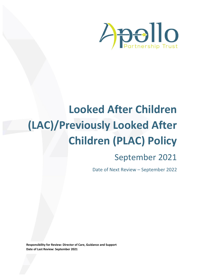

# **Looked After Children (LAC)/Previously Looked After Children (PLAC) Policy**

# September 2021

Date of Next Review – September 2022

**Responsibility for Review: Director of Care, Guidance and Support Date of Last Review: September 2021**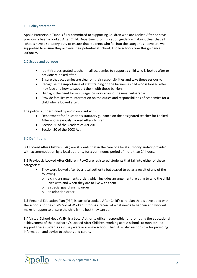# **1.0 Policy statement**

Apollo Partnership Trust is fully committed to supporting Children who are Looked After or have previously been a Looked After Child. Department for Education guidance makes it clear that all schools have a statutory duty to ensure that students who fall into the categories above are well supported to ensure they achieve their potential at school, Apollo schools take this guidance seriously.

# **2.0 Scope and purpose**

- Identify a designated teacher in all academies to support a child who is looked after or previously looked after.
- Ensure that academies are clear on their responsibilities and take these seriously.
- Recognise the importance of staff training on the barriers a child who is looked after may face and how to support them with these barriers.
- Highlight the need for multi–agency work around the most vulnerable.
- Provide families with information on the duties and responsibilities of academies for a child who is looked after.

The policy is underpinned by and compliant with:

- Department for Education's statutory guidance on the designated teacher for Looked After and Previously Looked After children
- Section 2E of the Academies Act 2010
- Section 20 of the 2008 Act

#### **3.0 Definitions**

**3.1** Looked After Children (LAC) are students that in the care of a local authority and/or provided with accommodation by a local authority for a continuous period of more than 24 hours.

**3.2** Previously Looked After Children (PLAC) are registered students that fall into either of these categories:

- They were looked after by a local authority but ceased to be as a result of any of the following:
	- $\circ$  a child arrangements order, which includes arrangements relating to who the child lives with and when they are to live with them
	- o a special guardianship order
	- o an adoption order

**3.3** Personal Education Plan (PEP) is part of a Looked After Child's care plan that is developed with the school and the child's Social Worker. It forms a record of what needs to happen and who will make it happen to ensure the child is the best they can be.

**3.4** Virtual School Head (VSH) is a Local Authority officer responsible for promoting the educational achievement of their authority's Looked After Children, working across schools to monitor and support these students as if they were in a single school. The VSH is also responsible for providing information and advice to schools and carers.

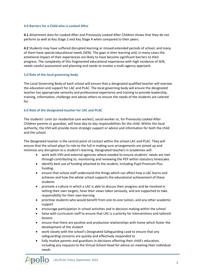# **4.0 Barriers for a Child who is Looked After**

**4.1** Attainment data for Looked After and Previously Looked After Children shows that they do not perform as well at Key Stage 2 and Key Stage 4 when compared to their peers.

**4.2** Students may have suffered disrupted learning or missed extended periods of school, and many of them have special educational needs (SEN). The gaps in their learning and, in many cases the emotional impact of their experiences are likely to have become significant barriers to their progress. The complexity of this fragmented educational experience with high incidence of SEN, needs careful assessment and planning and needs to involve a multi-agency approach.

# **5.0 Role of the local governing body**

The Local Governing Body of each school will ensure that a designated qualified teacher will oversee the education and support for LAC and PLAC. The local governing body will ensure the designated teacher has appropriate seniority and professional experience and training to provide leadership, training, information, challenge and advise others to ensure the needs of the students are catered for.

# **6.0 Role of the designated teacher for LAC and PLAC**

The students' carer (or residential care worker), social worker or, for Previously Looked After Children parents or guardian, will have day-to-day responsibilities for the child. Within the local authority, the VSH will provide more strategic support or advice and information for both the child and the school.

The designated teacher is the central point of contact within the school LAC and PLAC. They will ensure that the school plays its role to the full in making sure arrangements are joined up and minimise any disruption to a student's learning. Designated teachers in academies will:

- work with VSH and external agencies where needed to ensure students' needs are met through contributing to, monitoring and reviewing the PEP within statutory timescales
- identify best use of funding attached to the student, including Pupil Premium Plus funding.
- ensure that school staff understand the things which can affect how a LAC learns and achieves and how the whole school supports the educational achievement of these students
- promote a culture in which a LAC is able to discuss their progress and be involved in setting their own targets, have their views taken seriously, and are supported to take responsibility for their own learning
- prioritise students who would benefit from one-to-one tuition, and any other academic support
- encourage participation in school activities and in decision making within the school
- liaise with curriculum staff to ensure that LAC is a priority for interventions and tailored lessons
- ensure that there are positive and productive relationships with home which foster the development of the student
- work closely with the school's Designated Safeguarding Lead to ensure that any safeguarding concerns are quickly and effectively responded to
- fully involve parents and guardians in decisions affecting their child's education, including any requests to the Virtual School Head for advice on meeting their individual needs